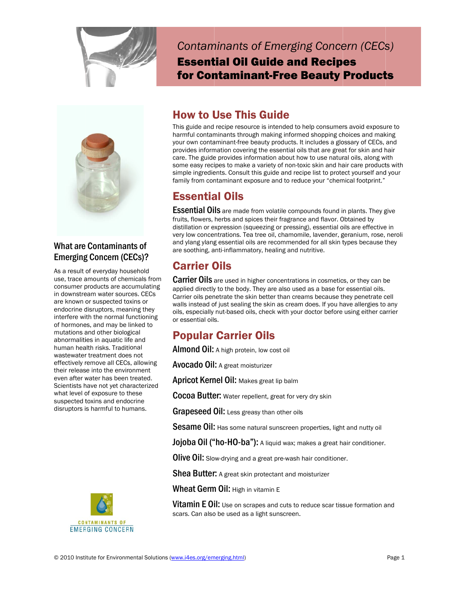



### **What are Contaminants of Emerging Concern (CECs)?**

As a result of everyday household use, trace amounts of chemicals from consumer products are accumulating in downstream water sources. CECs are known or suspected toxins or endocrine disruptors, meaning they interfere with the normal functioning of hormones, and may be linked to mutations and other biological abnormalities in aquatic life and human health risks. Traditional wastewater treatment does not effectively remove all CECs, allowing their release into the environment even after water has been treated. Scientists have not vet characterized what level of exposure to these suspected toxins and endocrine disruptors is harmful to humans.



**Contaminants of Emerging Concern (CECs) Essential Oil Guide and Recipes** for Contaminant-Free Beauty Products

### **How to Use This Guide**

This guide and recipe resource is intended to help consumers avoid exposure to harmful contaminants through making informed shopping choices and making your own contaminant-free beauty products. It includes a glossary of CECs, and provides information covering the essential oils that are great for skin and hair care. The guide provides information about how to use natural oils, along with some easy recipes to make a variety of non-toxic skin and hair care products with simple ingredients. Consult this guide and recipe list to protect yourself and your family from contaminant exposure and to reduce your "chemical footprint."

### **Essential Oils**

Essential Oils are made from volatile compounds found in plants. They give fruits, flowers, herbs and spices their fragrance and flavor. Obtained by distillation or expression (squeezing or pressing), essential oils are effective in very low concentrations. Tea tree oil, chamomile, lavender, geranium, rose, neroli and ylang ylang essential oils are recommended for all skin types because they are soothing, anti-inflammatory, healing and nutritive.

### **Carrier Oils**

Carrier Oils are used in higher concentrations in cosmetics, or they can be applied directly to the body. They are also used as a base for essential oils. Carrier oils penetrate the skin better than creams because they penetrate cell walls instead of just sealing the skin as cream does. If you have allergies to any oils, especially nut-based oils, check with your doctor before using either carrier or essential oils.

### **Popular Carrier Oils**

**Almond Oil:** A high protein, low cost oil

**Avocado Oil:** A great moisturizer

Apricot Kernel Oil: Makes great lip balm

Cocoa Butter: Water repellent, great for very dry skin

Grapeseed Oil: Less greasy than other oils

**Sesame Oil:** Has some natural sunscreen properties, light and nutty oil

Jojoba Oil ("ho-HO-ba"): A liquid wax; makes a great hair conditioner.

Olive Oil: Slow-drying and a great pre-wash hair conditioner.

Shea Butter: A great skin protectant and moisturizer

Wheat Germ Oil: High in vitamin E

**Vitamin E Oil:** Use on scrapes and cuts to reduce scar tissue formation and scars. Can also be used as a light sunscreen.